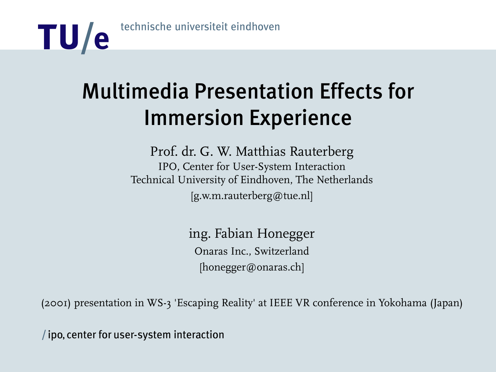

## Multimedia Presentation Effects for Immersion Experience

Prof. dr. G. W. Matthias Rauterberg IPO, Center for User-System Interaction Technical University of Eindhoven, The Netherlands [g.w.m.rauterberg@tue.nl]

> ing. Fabian Honegger Onaras Inc., Switzerland [honegger@onaras.ch]

(2001) presentation in WS-3 'Escaping Reality' at IEEE VR conference in Yokohama (Japan)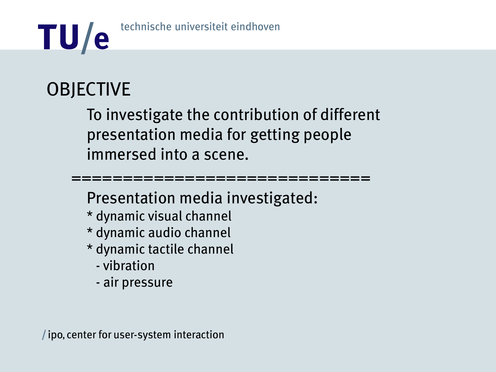

## **OBJECTIVE**

To investigate the contribution of different presentation media for getting people immersed into a scene.

=============================

Presentation media investigated:

- \* dynamic visual channel
- \* dynamic audio channel
- \* dynamic tactile channel
	- vibration
	- air pressure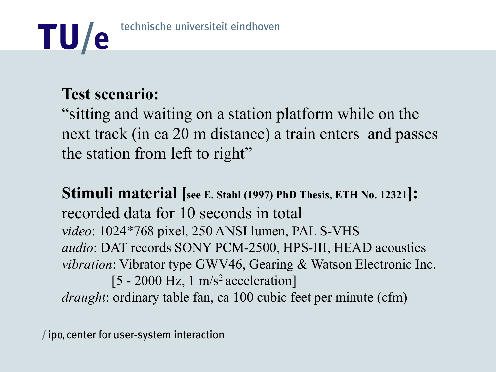

## **Test scenario:**

"sitting and waiting on a station platform while on the next track (in ca 20 m distance) a train enters and passes the station from left to right"

**Stimuli material [see E. Stahl (1997) PhD Thesis, ETH No. 12321]:** recorded data for 10 seconds in total *video*: 1024\*768 pixel, 250 ANSI lumen, PAL S-VHS *audio*: DAT records SONY PCM-2500, HPS-III, HEAD acoustics *vibration*: Vibrator type GWV46, Gearing & Watson Electronic Inc. [5 - 2000 Hz, 1 m/s<sup>2</sup> acceleration] *draught*: ordinary table fan, ca 100 cubic feet per minute (cfm)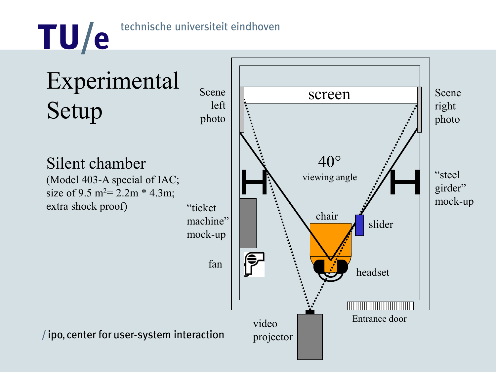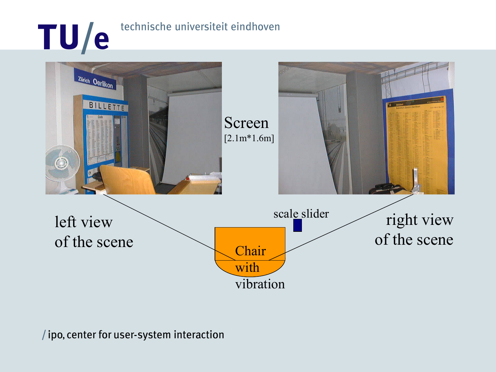# TU/e technische universiteit eindhoven

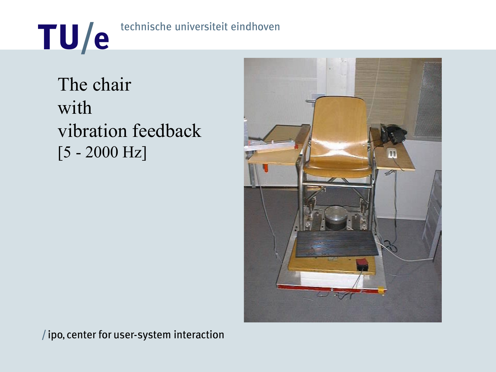

The chair with vibration feedback [5 - 2000 Hz]

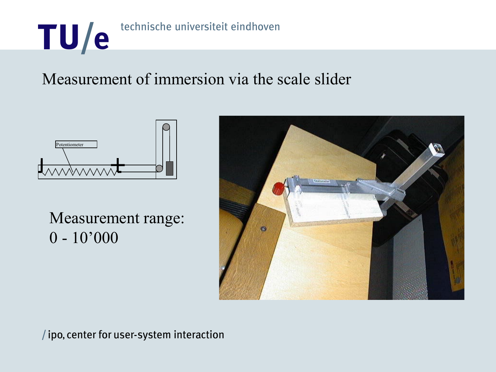

## Measurement of immersion via the scale slider



Measurement range: 0 - 10'000

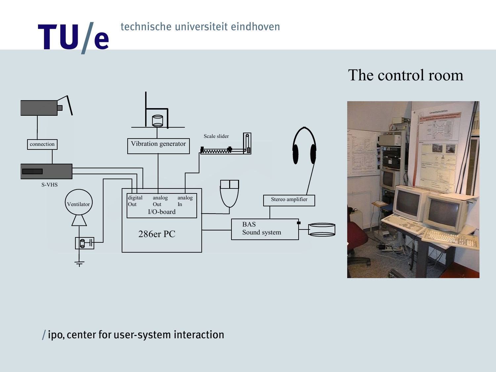# TU/e technische universiteit eindhoven



### The control room

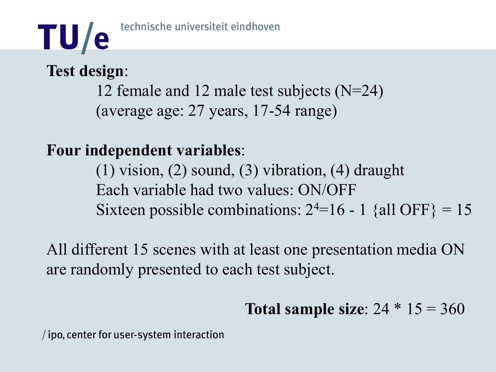## **Test design**:

12 female and 12 male test subjects (N=24) (average age: 27 years, 17-54 range)

## **Four independent variables**:

(1) vision, (2) sound, (3) vibration, (4) draught Each variable had two values: ON/OFF Sixteen possible combinations:  $2<sup>4</sup>=16 - 1$  {all OFF} = 15

All different 15 scenes with at least one presentation media ON are randomly presented to each test subject.

**Total sample size**: 24 \* 15 = 360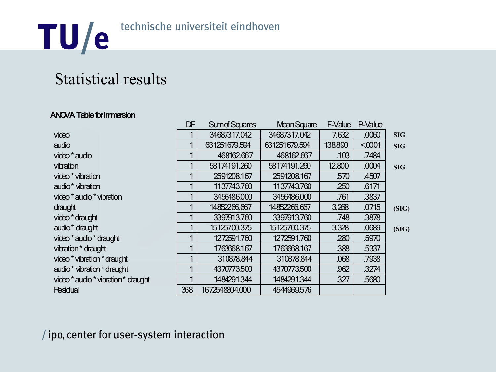

## Statistical results

#### ANOVA Table for immersion

|                                     | DF  | <b>Sumof Squares</b> | <b>Mean Square</b> | F-Value | P-Value |            |
|-------------------------------------|-----|----------------------|--------------------|---------|---------|------------|
| video                               |     | 34687317.042         | 34687317.042       | 7.632   | .0060   | <b>SIG</b> |
| audio                               |     | 631251679.594        | 631251679.594      | 138.890 | < 0.001 | <b>SIG</b> |
| video * audio                       |     | 468162.667           | 468162.667         | .103    | .7484   |            |
| vibration                           |     | 58174191.260         | 58174191.260       | 12.800  | .0004   | <b>SIG</b> |
| video * vibration                   |     | 2591208.167          | 2591208.167        | .570    | .4507   |            |
| audio <sup>*</sup> vibration        |     | 1137743.760          | 1137743.760        | 250     | .6171   |            |
| video * audio * vibration           |     | 3456486,000          | 3456486,000        | .761    | .3837   |            |
| draught                             |     | 14852266.667         | 14852266.667       | 3.268   | .0715   | (SIG)      |
| video * draught                     |     | 3397913.760          | 3397913.760        | .748    | .3878   |            |
| audio <sup>*</sup> draught          |     | 15125700.375         | 15125700.375       | 3.328   | .0689   | (SIG)      |
| video * audio * draught             |     | 1272591.760          | 1272591.760        | .280    | .5970   |            |
| vibration* draught                  |     | 1763668.167          | 1763668.167        | .388    | .5337   |            |
| video * vibration * draught         |     | 310878.844           | 310878.844         | .068    | .7938   |            |
| audio* vibration * draught          |     | 4370773.500          | 4370773.500        | .962    | .3274   |            |
| video * audio * vibration * draught |     | 1484291.344          | 1484291.344        | .327    | .5680   |            |
| <b>Residual</b>                     | 368 | 1672548804.000       | 4544969.576        |         |         |            |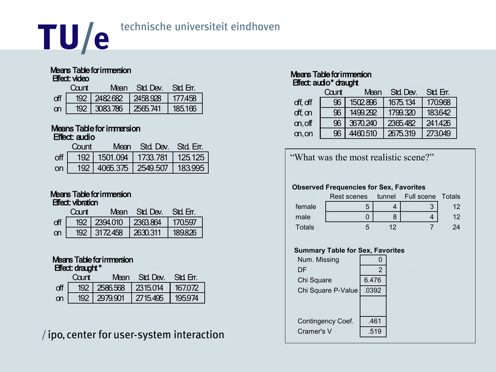

#### Means Table for immersion Effect: video

|   | Caint | Mean        | Std. Dev. | Std Err |
|---|-------|-------------|-----------|---------|
|   |       | 192 2482682 | 12458.928 | 177.458 |
| m | 192   | 13083.786   | 2565.741  | 185166  |

#### Means Table for immersion Effect: audio

|                | Count |                                     | Mean Std Dev. Std Err. |  |
|----------------|-------|-------------------------------------|------------------------|--|
| $\mathsf{off}$ |       | 192   1501.094   1733.781   125.125 |                        |  |
| on             |       | 192   4065.375   2549.507   183.995 |                        |  |

#### Means Table for immersion Effect: vibration

|           | Caint | Mean.                     | Std Dev  | Std Frr |
|-----------|-------|---------------------------|----------|---------|
| off       |       | 192   2394.010   2363.864 |          | 170597  |
| <b>on</b> |       | 192 3172458               | 2630.311 | 189826  |

#### Means Table for immersion Effect: draught \*

|           | (`n int | Mean                      | Std Dev  | Std Er |
|-----------|---------|---------------------------|----------|--------|
|           |         | 192   2586.568   2315.014 |          | 167072 |
| <b>on</b> |         | 192   2979.901            | 2715.495 | 195974 |

/ipo, center for user-system interaction

#### Means Table for immersion Effect: audio<sup>\*</sup> draught

|          | Count | Std. Dev.<br>Mean |          | Std Err. |  |
|----------|-------|-------------------|----------|----------|--|
| off, off | 96    | 1502.896          | 1675.134 | 170.968  |  |
| off, on  | 96    | 1499.292          | 1799.320 | 183642   |  |
| on, off  | 96    | 3670.240          | 2365.482 | 241426   |  |
| on, on   | 96    | 4460.510          | 2675.319 | 273049   |  |

"What was the most realistic scene?"

#### **Observed Frequencies for Sex, Favorites**

|        | Rest scenes |    | tunnel Full scene Totals |    |
|--------|-------------|----|--------------------------|----|
| female |             |    |                          | 12 |
| male   |             |    |                          | 12 |
| Totals |             | ィク |                          |    |

#### **Summary Table for Sex, Favorites**

| Num. Missing       | ი              |  |
|--------------------|----------------|--|
| DF                 | $\overline{2}$ |  |
| Chi Square         | 6.476          |  |
| Chi Square P-Value | .0392          |  |
|                    |                |  |
| Contingency Coef.  | .461           |  |
| Cramer's V         | .519           |  |